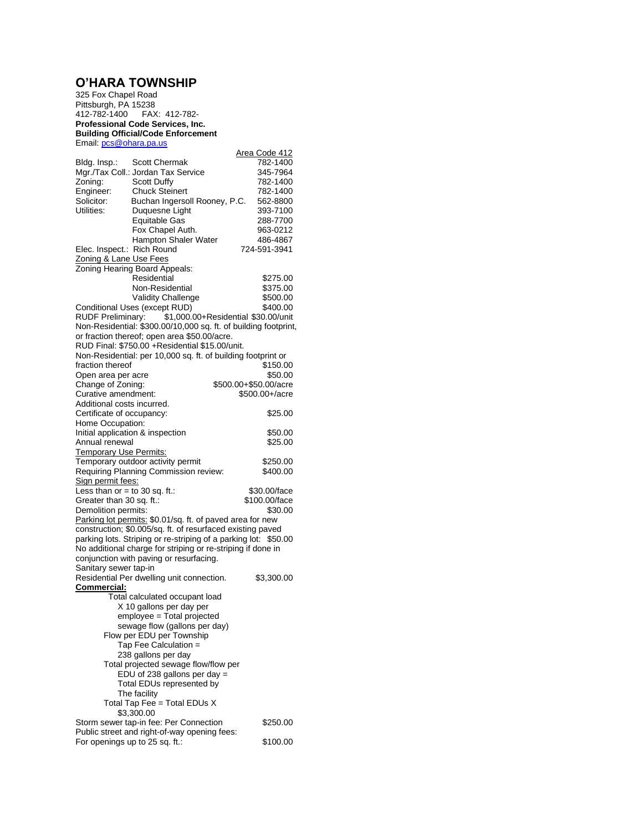## **O'HARA TOWNSHIP**

325 Fox Chapel Road Pittsburgh, PA 15238 FAX: 412-782-**Professional Code Services, Inc. Building Official/Code Enforcement** Email: [pcs@ohara.pa.us](mailto:pcs@ohara.pa.us) Area Code 412 Bldg. Insp.: Scott Chermak 782-1400<br>Mgr./Tax Coll.: Jordan Tax Service 345-7964 Mgr./Tax Coll.: Jordan Tax Service Zoning: Scott Duffy 782-1400<br>
Engineer: Chuck Steinert 782-1400 Engineer: Chuck Steinert 782-1400<br>Solicitor: Buchan Ingersoll Roonev, P.C. 562-8800 Solicitor: Buchan Ingersoll Rooney, P.C. 562-8800 Duquesne Light Equitable Gas 288-7700 Fox Chapel Auth. Hampton Shaler Water 486-4867<br>Rich Round 724-591-3941 Elec. Inspect.: Rich Round Zoning & Lane Use Fees Zoning Hearing Board Appeals: The Sale Residential<br>
1997 - Non-Residential<br>
2375.00 Non-Residential Validity Challenge<br>
es (except RUD) \$400.00 Conditional Uses (except RUD)<br>RUDF Preliminary: \$1,000.0  $\sin 1,000.00+$ Residential \$30.00/unit Non-Residential: \$300.00/10,000 sq. ft. of building footprint, or fraction thereof; open area \$50.00/acre. RUD Final: \$750.00 +Residential \$15.00/unit. Non-Residential: per 10,000 sq. ft. of building footprint or fraction thereof  $$150.00$ <br>Open area per acre  $$50.00$ Open area per acre<br>Change of Zoning: \$500.00+\$50.00/acre<br>\$500.00+/acre Curative amendment: Additional costs incurred. Certificate of occupancy:  $$25.00$ Home Occupation: Initial application & inspection  $$50.00$ Annual renewal \$25.00 Temporary Use Permits: Temporary outdoor activity permit \$250.00 Requiring Planning Commission review: \$400.00 Sign permit fees: Less than  $or = to$  30 sq. ft.:  $$30.00/face$ <br>Greater than 30 sq. ft.:  $$100.00/face$ Greater than 30 sq. ft.: Demolition permits: \$30.00 Parking lot permits: \$0.01/sq. ft. of paved area for new construction; \$0.005/sq. ft. of resurfaced existing paved parking lots. Striping or re-striping of a parking lot: \$50.00 No additional charge for striping or re-striping if done in conjunction with paving or resurfacing. Sanitary sewer tap-in Residential Per dwelling unit connection. \$3,300.00 **Commercial:** Total calculated occupant load X 10 gallons per day per employee = Total projected sewage flow (gallons per day) Flow per EDU per Township Tap Fee Calculation = 238 gallons per day Total projected sewage flow/flow per  $EDU$  of 238 gallons per day = Total EDUs represented by The facility Total Tap Fee = Total EDUs  $X$  \$3,300.00 Storm sewer tap-in fee: Per Connection \$250.00 Public street and right-of-way opening fees: For openings up to 25 sq. ft.: \$100.00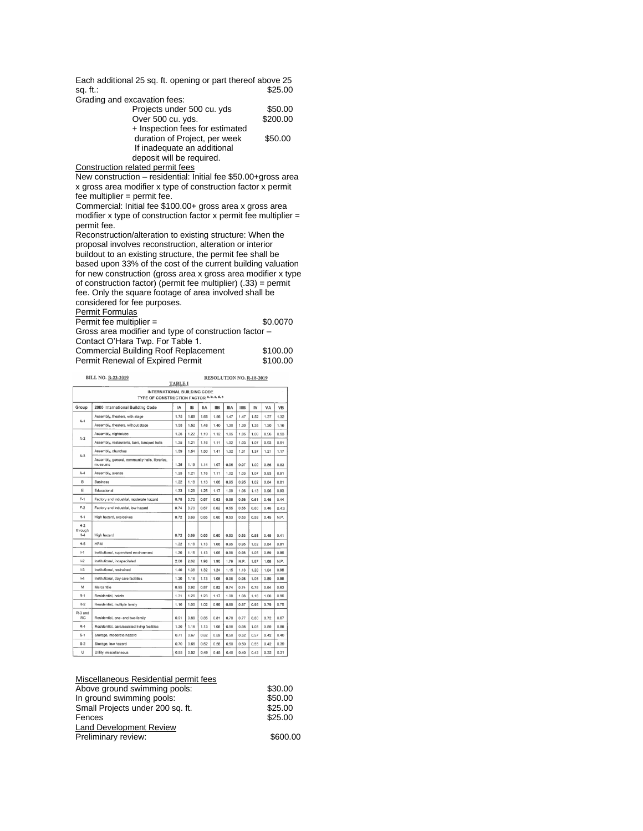Each additional 25 sq. ft. opening or part thereof above 25 sq. ft.: \$25.00 sq. ft.: Grading

| Grading and excavation fees:    |          |
|---------------------------------|----------|
| Projects under 500 cu. yds      | \$50.00  |
| Over 500 cu. yds.               | \$200.00 |
| + Inspection fees for estimated |          |
| duration of Project, per week   | \$50.00  |
| If inadequate an additional     |          |
| deposit will be required.       |          |

Construction related permit fees

New construction – residential: Initial fee \$50.00+gross area x gross area modifier x type of construction factor x permit  $fee$  multiplier = permit fee.

Commercial: Initial fee \$100.00+ gross area x gross area modifier x type of construction factor x permit fee multiplier  $=$ permit fee.

Reconstruction/alteration to existing structure: When the proposal involves reconstruction, alteration or interior buildout to an existing structure, the permit fee shall be based upon 33% of the cost of the current building valuation for new construction (gross area x gross area modifier x type of construction factor) (permit fee multiplier) (.33) = permit fee. Only the square footage of area involved shall be considered for fee purposes.

| Permit Formulas                                       |          |  |  |
|-------------------------------------------------------|----------|--|--|
| Permit fee multiplier $=$                             | \$0.0070 |  |  |
| Gross area modifier and type of construction factor - |          |  |  |
| Contact O'Hara Twp. For Table 1.                      |          |  |  |
| <b>Commercial Building Roof Replacement</b>           | \$100.00 |  |  |
| Permit Renewal of Expired Permit                      | \$100.00 |  |  |

|                                                                          | <b>BILL NO. B-23-2019</b><br><b>RESOLUTION NO. R-18-2019</b><br><b>TABLE I</b> |      |           |            |            |      |             |      |      |           |
|--------------------------------------------------------------------------|--------------------------------------------------------------------------------|------|-----------|------------|------------|------|-------------|------|------|-----------|
| INTERNATIONAL BUILDING CODE<br>TYPE OF CONSTRUCTION FACTOR a, b, c, d, e |                                                                                |      |           |            |            |      |             |      |      |           |
| Group                                                                    | 2000 International Building Code                                               | IA   | <b>IB</b> | <b>IIA</b> | <b>IIB</b> | IIIA | <b>IIIB</b> | IV   | VA   | <b>VB</b> |
| $A-1$                                                                    | Assembly, theaters, with stage                                                 | 1.75 | 1.69      | 1.65       | 1.56       | 1.47 | 1.47        | 1.52 | 1.37 | 1.32      |
|                                                                          | Assembly, theaters, without stage                                              | 1.58 | 1.52      | 1.48       | 1.40       | 1.30 | 1.30        | 1.35 | 1.20 | 1.16      |
| $A-2$                                                                    | Assembly, nightclubs                                                           | 1.26 | 1.22      | 1.19       | 1.12       | 1.05 | 1.05        | 1.09 | 0.96 | 0.93      |
|                                                                          | Assembly, restaurants, bars, banquet halls                                     | 1.25 | 1.21      | 1.16       | 1.11       | 1.02 | 1.03        | 1.07 | 0.93 | 0.91      |
| $A-3$                                                                    | Assembly, churches                                                             | 1.59 | 1.54      | 1.50       | 1.41       | 1.32 | 1.31        | 1.37 | 1.21 | 1.17      |
|                                                                          | Assembly, general, community halls, libraries,<br>museums                      | 1.25 | 1.19      | 1.14       | 1.07       | 0.96 | 0.97        | 1.02 | 0.86 | 0.83      |
| $A-4$                                                                    | Assembly, arenas                                                               | 1.25 | 1.21      | 1.16       | 1.11       | 1.02 | 1.03        | 1.07 | 0.93 | 0.91      |
| B                                                                        | <b>Business</b>                                                                | 1.22 | 1.18      | 1.13       | 1.06       | 0.95 | 0.95        | 1.02 | 0.84 | 0.81      |
| E                                                                        | Educational                                                                    | 1.33 | 1.29      | 1.25       | 1.17       | 1.09 | 1.06        | 1.13 | 0.96 | 0.93      |
| $F-1$                                                                    | Factory and industrial, moderate hazard                                        | 0.75 | 0.72      | 0.67       | 0.63       | 0.55 | 0.56        | 0.61 | 0.46 | 0.44      |
| $F-2$                                                                    | Factory and industrial, low hazard                                             | 0.74 | 0.70      | 0.67       | 0.62       | 0.55 | 0.55        | 0.60 | 0.46 | 0.43      |
| $H-1$                                                                    | High hazard, explosives                                                        | 0.72 | 0.69      | 0.65       | 0.60       | 0.53 | 0.53        | 0.58 | 0.45 | N.P.      |
| $H-2$<br>through<br>$H-4$                                                | High hazard                                                                    | 0.72 | 0.69      | 0.65       | 0.60       | 0.53 | 0.53        | 0.58 | 0.45 | 0.41      |
| $H-5$                                                                    | <b>HPM</b>                                                                     | 1.22 | 1.18      | 1.13       | 1.06       | 0.95 | 0.95        | 1.02 | 0.84 | 0.81      |
| $1-1$                                                                    | Institutional, supervised environment                                          | 1.20 | 1.16      | 1.13       | 1.06       | 0.98 | 0.98        | 1.05 | 0.89 | 0.86      |
| $1-2$                                                                    | Institutional, incapacitated                                                   | 2.06 | 2.02      | 1.98       | 1.90       | 1.79 | N.P.        | 1.87 | 1.68 | N.P.      |
| $1-3$                                                                    | Institutional, restrained                                                      | 1.40 | 1.36      | 1.32       | 1.24       | 1.15 | 1.13        | 1.20 | 1.04 | 0.98      |
| $  -4$                                                                   | Institutional, day care facilities                                             | 1.20 | 1.16      | 1.13       | 1.06       | 0.98 | 0.98        | 1.05 | 0.89 | 0.86      |
| M                                                                        | Mercantile                                                                     | 0.95 | 0.92      | 0.87       | 0.82       | 0.74 | 0.74        | 0.78 | 0.64 | 0.63      |
| $R-1$                                                                    | Residential, hotels                                                            | 1.31 | 1.26      | 1.23       | 1.17       | 1.08 | 1.08        | 1.16 | 1.00 | 0.96      |
| $R-2$                                                                    | Residential, multiple family                                                   | 1.10 | 1.05      | 1.02       | 0.96       | 0.88 | 0.87        | 0.95 | 0.79 | 0.75      |
| R-3 and<br><b>IRC</b>                                                    | Residential, one- and two-family                                               | 0.91 | 0.88      | 0.85       | 0.81       | 0.78 | 0.77        | 0.80 | 0.72 | 0.67      |
| $R-4$                                                                    | Residential, care/assisted living facilities                                   | 1.20 | 1.16      | 1.13       | 1.06       | 0.98 | 0.98        | 1.05 | 0.89 | 0.86      |
| $S-1$                                                                    | Storage, moderate hazard                                                       | 0.71 | 0.67      | 0.62       | 0.59       | 0.50 | 0.52        | 0.57 | 0.42 | 0.40      |
| $S-2$                                                                    | Storage, low hazard                                                            | 0.70 | 0.66      | 0.62       | 0.58       | 0.50 | 0.50        | 0.55 | 0.42 | 0.39      |
| U                                                                        | Utility, miscellaneous                                                         | 0.55 | 0.52      | 0.49       | 0.45       | 0.40 | 0.40        | 0.43 | 0.32 | 0.31      |

| \$30.00  |
|----------|
| \$50.00  |
| \$25.00  |
| \$25.00  |
|          |
| \$600.00 |
|          |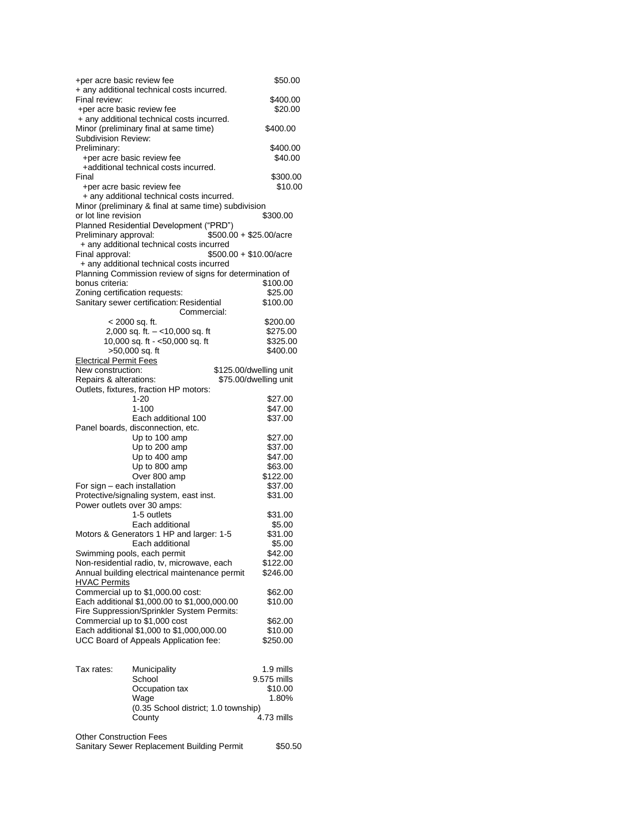| +per acre basic review fee                  |                                                                                                       | \$50.00                         |
|---------------------------------------------|-------------------------------------------------------------------------------------------------------|---------------------------------|
|                                             | + any additional technical costs incurred.                                                            |                                 |
| Final review:<br>+per acre basic review fee |                                                                                                       | \$400.00<br>\$20.00             |
|                                             | + any additional technical costs incurred.                                                            |                                 |
|                                             | Minor (preliminary final at same time)                                                                | \$400.00                        |
| Subdivision Review:                         |                                                                                                       |                                 |
| Preliminary:                                |                                                                                                       | \$400.00                        |
|                                             | +per acre basic review fee                                                                            | \$40.00                         |
| Final                                       | +additional technical costs incurred.                                                                 | \$300.00                        |
|                                             | +per acre basic review fee                                                                            | \$10.00                         |
|                                             | + any additional technical costs incurred.                                                            |                                 |
|                                             | Minor (preliminary & final at same time) subdivision                                                  |                                 |
| or lot line revision                        |                                                                                                       | \$300.00                        |
|                                             | Planned Residential Development ("PRD")                                                               |                                 |
| Preliminary approval:                       |                                                                                                       | \$500.00 + \$25.00/acre         |
|                                             | + any additional technical costs incurred                                                             |                                 |
| Final approval:                             |                                                                                                       | $$500.00 + $10.00/ \text{acre}$ |
|                                             | + any additional technical costs incurred<br>Planning Commission review of signs for determination of |                                 |
| bonus criteria:                             |                                                                                                       | \$100.00                        |
| Zoning certification requests:              |                                                                                                       | \$25.00                         |
|                                             | Sanitary sewer certification: Residential                                                             | \$100.00                        |
|                                             | Commercial:                                                                                           |                                 |
|                                             | < 2000 sq. ft.                                                                                        | \$200.00                        |
|                                             | 2,000 sq. ft. - <10,000 sq. ft                                                                        | \$275.00                        |
|                                             | 10,000 sq. ft - <50,000 sq. ft                                                                        | \$325.00                        |
| <b>Electrical Permit Fees</b>               | >50,000 sq. ft                                                                                        | \$400.00                        |
| New construction:                           |                                                                                                       | \$125.00/dwelling unit          |
| Repairs & alterations:                      |                                                                                                       | \$75.00/dwelling unit           |
|                                             | Outlets, fixtures, fraction HP motors:                                                                |                                 |
|                                             | 1-20                                                                                                  | \$27.00                         |
|                                             | $1 - 100$                                                                                             | \$47.00                         |
|                                             | Each additional 100                                                                                   | \$37.00                         |
|                                             | Panel boards, disconnection, etc.                                                                     |                                 |
|                                             | Up to 100 amp<br>Up to 200 amp                                                                        | \$27.00<br>\$37.00              |
|                                             | Up to 400 amp                                                                                         | \$47.00                         |
|                                             | Up to 800 amp                                                                                         | \$63.00                         |
|                                             | Over 800 amp                                                                                          | \$122.00                        |
| For sign - each installation                |                                                                                                       | \$37.00                         |
|                                             | Protective/signaling system, east inst.                                                               | \$31.00                         |
| Power outlets over 30 amps:                 |                                                                                                       |                                 |
|                                             | 1-5 outlets<br>Each additional                                                                        | \$31.00                         |
|                                             | Motors & Generators 1 HP and larger: 1-5                                                              | \$5.00<br>\$31.00               |
|                                             | Each additional                                                                                       | \$5.00                          |
|                                             | Swimming pools, each permit                                                                           | \$42.00                         |
|                                             | Non-residential radio, tv, microwave, each                                                            | \$122.00                        |
|                                             | Annual building electrical maintenance permit                                                         | \$246.00                        |
| <b>HVAC Permits</b>                         |                                                                                                       |                                 |
|                                             | Commercial up to \$1,000.00 cost:                                                                     | \$62.00                         |
|                                             | Each additional \$1,000.00 to \$1,000,000.00                                                          | \$10.00                         |
|                                             | Fire Suppression/Sprinkler System Permits:<br>Commercial up to \$1,000 cost                           | \$62.00                         |
|                                             | Each additional \$1,000 to \$1,000,000.00                                                             | \$10.00                         |
|                                             | UCC Board of Appeals Application fee:                                                                 | \$250.00                        |
|                                             |                                                                                                       |                                 |
|                                             |                                                                                                       |                                 |
| Tax rates:                                  | Municipality                                                                                          | 1.9 mills                       |
|                                             | School                                                                                                | 9.575 mills                     |
|                                             | Occupation tax                                                                                        | \$10.00<br>1.80%                |
|                                             | Wage<br>(0.35 School district; 1.0 township)                                                          |                                 |
|                                             | County                                                                                                | 4.73 mills                      |
|                                             |                                                                                                       |                                 |
| <b>Other Construction Fees</b>              |                                                                                                       |                                 |
|                                             | Sanitary Sewer Replacement Building Permit                                                            | \$50.50                         |